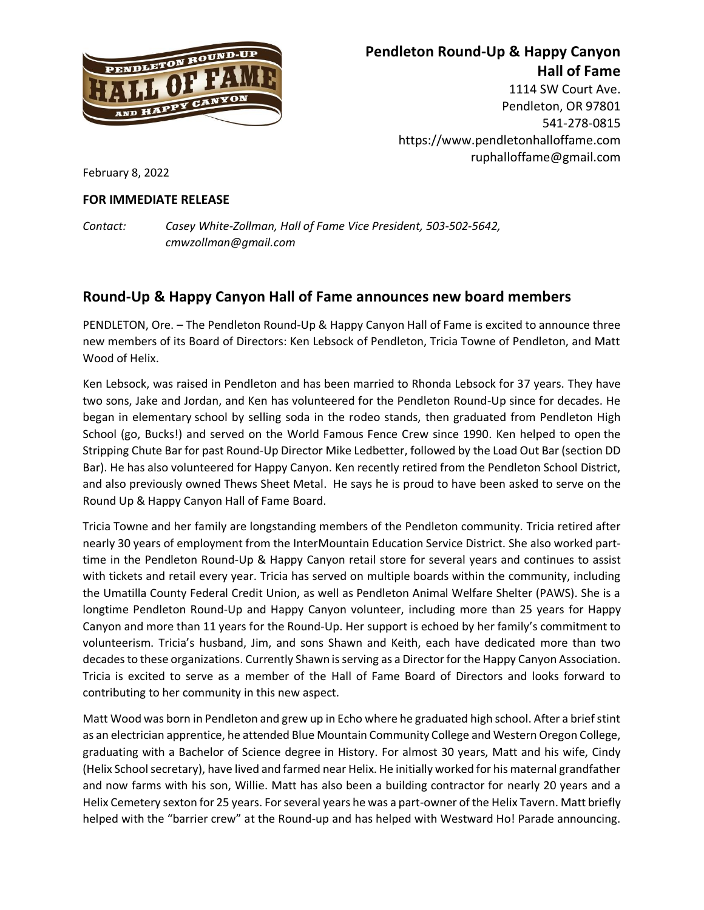

## **Pendleton Round-Up & Happy Canyon Hall of Fame**

1114 SW Court Ave. Pendleton, OR 97801 541-278-0815 https://www.pendletonhalloffame.com ruphalloffame@gmail.com

February 8, 2022

## **FOR IMMEDIATE RELEASE**

*Contact: Casey White-Zollman, Hall of Fame Vice President, 503-502-5642, cmwzollman@gmail.com*

## **Round-Up & Happy Canyon Hall of Fame announces new board members**

PENDLETON, Ore. – The Pendleton Round-Up & Happy Canyon Hall of Fame is excited to announce three new members of its Board of Directors: Ken Lebsock of Pendleton, Tricia Towne of Pendleton, and Matt Wood of Helix.

Ken Lebsock, was raised in Pendleton and has been married to Rhonda Lebsock for 37 years. They have two sons, Jake and Jordan, and Ken has volunteered for the Pendleton Round-Up since for decades. He began in elementary school by selling soda in the rodeo stands, then graduated from Pendleton High School (go, Bucks!) and served on the World Famous Fence Crew since 1990. Ken helped to open the Stripping Chute Bar for past Round-Up Director Mike Ledbetter, followed by the Load Out Bar (section DD Bar). He has also volunteered for Happy Canyon. Ken recently retired from the Pendleton School District, and also previously owned Thews Sheet Metal. He says he is proud to have been asked to serve on the Round Up & Happy Canyon Hall of Fame Board.

Tricia Towne and her family are longstanding members of the Pendleton community. Tricia retired after nearly 30 years of employment from the InterMountain Education Service District. She also worked parttime in the Pendleton Round-Up & Happy Canyon retail store for several years and continues to assist with tickets and retail every year. Tricia has served on multiple boards within the community, including the Umatilla County Federal Credit Union, as well as Pendleton Animal Welfare Shelter (PAWS). She is a longtime Pendleton Round-Up and Happy Canyon volunteer, including more than 25 years for Happy Canyon and more than 11 years for the Round-Up. Her support is echoed by her family's commitment to volunteerism. Tricia's husband, Jim, and sons Shawn and Keith, each have dedicated more than two decades to these organizations. Currently Shawn is serving as a Director for the Happy Canyon Association. Tricia is excited to serve as a member of the Hall of Fame Board of Directors and looks forward to contributing to her community in this new aspect.

Matt Wood was born in Pendleton and grew up in Echo where he graduated high school. After a brief stint as an electrician apprentice, he attended Blue Mountain Community College and Western Oregon College, graduating with a Bachelor of Science degree in History. For almost 30 years, Matt and his wife, Cindy (Helix School secretary), have lived and farmed near Helix. He initially worked for his maternal grandfather and now farms with his son, Willie. Matt has also been a building contractor for nearly 20 years and a Helix Cemetery sexton for 25 years. For several years he was a part-owner of the Helix Tavern. Matt briefly helped with the "barrier crew" at the Round-up and has helped with Westward Ho! Parade announcing.